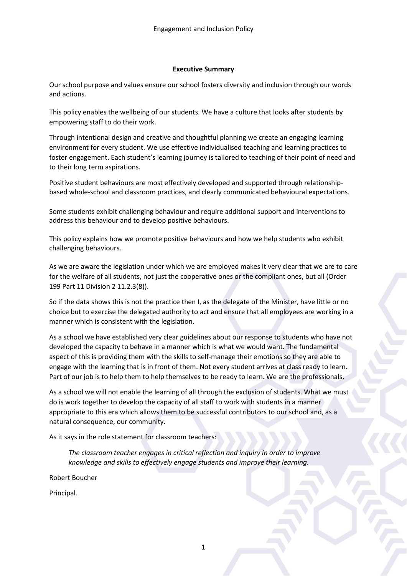## **Executive Summary**

Our school purpose and values ensure our school fosters diversity and inclusion through our words and actions.

This policy enables the wellbeing of our students. We have a culture that looks after students by empowering staff to do their work.

Through intentional design and creative and thoughtful planning we create an engaging learning environment for every student. We use effective individualised teaching and learning practices to foster engagement. Each student's learning journey is tailored to teaching of their point of need and to their long term aspirations.

Positive student behaviours are most effectively developed and supported through relationshipbased whole-school and classroom practices, and clearly communicated behavioural expectations.

Some students exhibit challenging behaviour and require additional support and interventions to address this behaviour and to develop positive behaviours.

This policy explains how we promote positive behaviours and how we help students who exhibit challenging behaviours.

As we are aware the legislation under which we are employed makes it very clear that we are to care for the welfare of all students, not just the cooperative ones or the compliant ones, but all (Order 199 Part 11 Division 2 11.2.3(8)).

So if the data shows this is not the practice then I, as the delegate of the Minister, have little or no choice but to exercise the delegated authority to act and ensure that all employees are working in a manner which is consistent with the legislation.

As a school we have established very clear guidelines about our response to students who have not developed the capacity to behave in a manner which is what we would want. The fundamental aspect of this is providing them with the skills to self-manage their emotions so they are able to engage with the learning that is in front of them. Not every student arrives at class ready to learn. Part of our job is to help them to help themselves to be ready to learn. We are the professionals.

As a school we will not enable the learning of all through the exclusion of students. What we must do is work together to develop the capacity of all staff to work with students in a manner appropriate to this era which allows them to be successful contributors to our school and, as a natural consequence, our community.

As it says in the role statement for classroom teachers:

*The classroom teacher engages in critical reflection and inquiry in order to improve knowledge and skills to effectively engage students and improve their learning.*

Robert Boucher

Principal.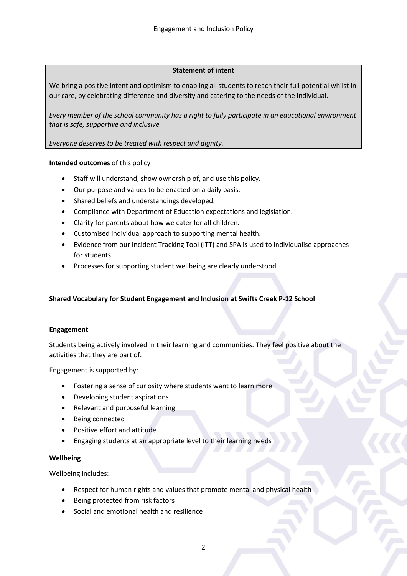# **Statement of intent**

We bring a positive intent and optimism to enabling all students to reach their full potential whilst in our care, by celebrating difference and diversity and catering to the needs of the individual.

*Every member of the school community has a right to fully participate in an educational environment that is safe, supportive and inclusive.*

*Everyone deserves to be treated with respect and dignity.*

## **Intended outcomes** of this policy

- Staff will understand, show ownership of, and use this policy.
- Our purpose and values to be enacted on a daily basis.
- Shared beliefs and understandings developed.
- Compliance with Department of Education expectations and legislation.
- Clarity for parents about how we cater for all children.
- Customised individual approach to supporting mental health.
- Evidence from our Incident Tracking Tool (ITT) and SPA is used to individualise approaches for students.
- Processes for supporting student wellbeing are clearly understood.

# **Shared Vocabulary for Student Engagement and Inclusion at Swifts Creek P-12 School**

#### **Engagement**

Students being actively involved in their learning and communities. They feel positive about the activities that they are part of.

Engagement is supported by:

- Fostering a sense of curiosity where students want to learn more
- Developing student aspirations
- Relevant and purposeful learning
- Being connected
- Positive effort and attitude
- Engaging students at an appropriate level to their learning needs

#### **Wellbeing**

Wellbeing includes:

- Respect for human rights and values that promote mental and physical health
- Being protected from risk factors
- Social and emotional health and resilience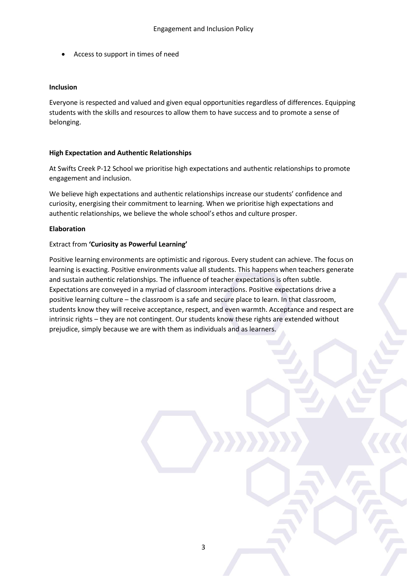Access to support in times of need

#### **Inclusion**

Everyone is respected and valued and given equal opportunities regardless of differences. Equipping students with the skills and resources to allow them to have success and to promote a sense of belonging.

## **High Expectation and Authentic Relationships**

At Swifts Creek P-12 School we prioritise high expectations and authentic relationships to promote engagement and inclusion.

We believe high expectations and authentic relationships increase our students' confidence and curiosity, energising their commitment to learning. When we prioritise high expectations and authentic relationships, we believe the whole school's ethos and culture prosper.

## **Elaboration**

## Extract from **'Curiosity as Powerful Learning'**

Positive learning environments are optimistic and rigorous. Every student can achieve. The focus on learning is exacting. Positive environments value all students. This happens when teachers generate and sustain authentic relationships. The influence of teacher expectations is often subtle. Expectations are conveyed in a myriad of classroom interactions. Positive expectations drive a positive learning culture – the classroom is a safe and secure place to learn. In that classroom, students know they will receive acceptance, respect, and even warmth. Acceptance and respect are intrinsic rights – they are not contingent. Our students know these rights are extended without prejudice, simply because we are with them as individuals and as learners.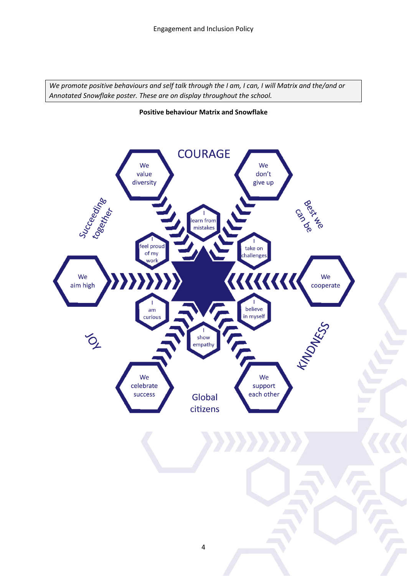*We promote positive behaviours and self talk through the I am, I can, I will Matrix and the/and or Annotated Snowflake poster. These are on display throughout the school.*

#### **Positive behaviour Matrix and Snowflake**

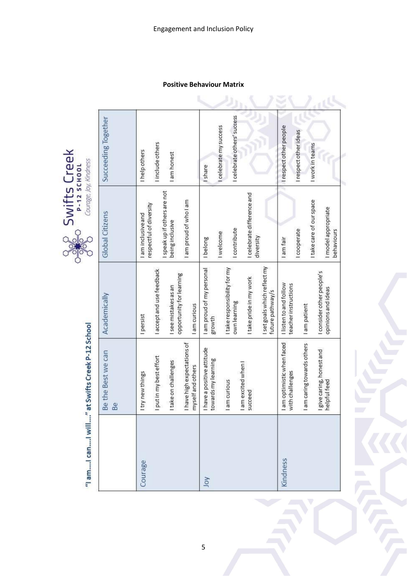**Positive Behaviour Matrix**

|          | "I am  I can  I will " at Swifts Creek P-12 School |                                                  | Courage, Joy, Kindness<br>Jan<br>C                      |                             |  |
|----------|----------------------------------------------------|--------------------------------------------------|---------------------------------------------------------|-----------------------------|--|
|          | Be the Best we can<br>Be                           | Academically                                     | <b>Global Citizens</b>                                  | Succeeding Together         |  |
| Courage  | new things<br>  try                                | I persist                                        | I am inclusive and                                      | I help others               |  |
|          | in my best effort<br>I put                         | I accept and use feedback                        | I speak up if others are not<br>respectful of diversity | I include others            |  |
|          | I take on challenges                               | opportunity for learning<br>I see mistakes as an | being inclusive                                         | I am honest                 |  |
|          | I have high expectations of<br>myself and others   | I am curious                                     | I am proud of who I am                                  |                             |  |
| Yor      | I have a positive attitude<br>towards my learning  | I am proud of my personal<br>growth              | I belong                                                | I share                     |  |
|          |                                                    |                                                  | Iwelcome                                                | I celebrate my success      |  |
|          | I am excited when I<br>I am curious                | I take responsibility for my<br>own learning     | <b>I</b> contribute                                     | I celebrate others' success |  |
|          | succeed                                            | I take pride in my work                          | I celebrate difference and<br>diversity                 |                             |  |
|          |                                                    | I set goals which reflect my<br>future pathway/s |                                                         |                             |  |
| Kindness | I am optimistic when faced<br>challenges<br>with   | I listen to and follow<br>teacher instructions   | I am fair                                               | I respect other people      |  |
|          | caring towards others<br>lam                       | I am patient                                     | I cooperate                                             | I respect other ideas       |  |
|          |                                                    |                                                  | I take care of our space                                | I work in teams             |  |
|          | I give caring, honest and<br>helpful feed          | I consider other people's<br>opinions and ideas  | I model appropriate<br>behaviours                       |                             |  |
|          |                                                    |                                                  |                                                         |                             |  |

**Swifts** Creek

5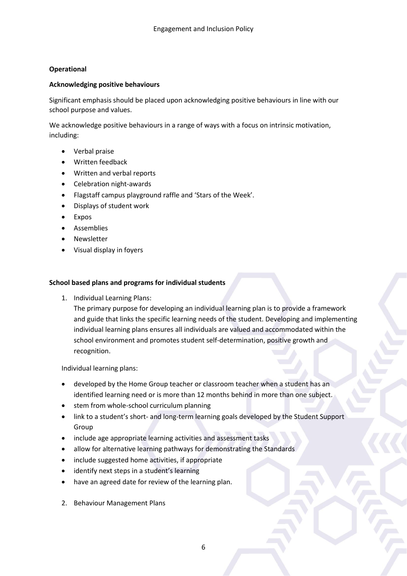# **Operational**

#### **Acknowledging positive behaviours**

Significant emphasis should be placed upon acknowledging positive behaviours in line with our school purpose and values.

We acknowledge positive behaviours in a range of ways with a focus on intrinsic motivation, including:

- Verbal praise
- Written feedback
- Written and verbal reports
- Celebration night-awards
- Flagstaff campus playground raffle and 'Stars of the Week'.
- Displays of student work
- Expos
- **•** Assemblies
- Newsletter
- Visual display in foyers

## **School based plans and programs for individual students**

1. Individual Learning Plans:

The primary purpose for developing an individual learning plan is to provide a framework and guide that links the specific learning needs of the student. Developing and implementing individual learning plans ensures all individuals are valued and accommodated within the school environment and promotes student self-determination, positive growth and recognition.

Individual learning plans:

- developed by the Home Group teacher or classroom teacher when a student has an identified learning need or is more than 12 months behind in more than one subject.
- stem from whole-school curriculum planning
- link to a student's short- and long-term learning goals developed by the Student Support Group
- include age appropriate learning activities and assessment tasks
- allow for alternative learning pathways for demonstrating the Standards
- include suggested home activities, if appropriate
- identify next steps in a student's learning
- have an agreed date for review of the learning plan.
- 2. Behaviour Management Plans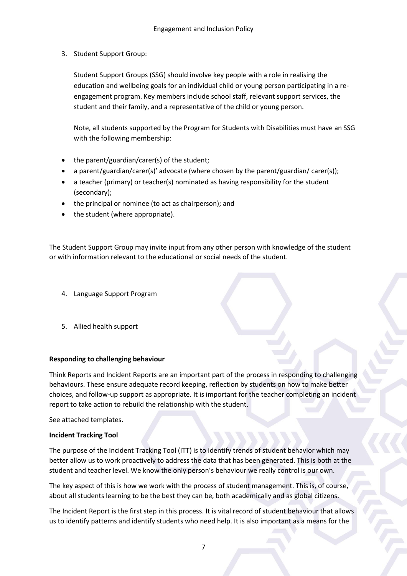3. Student Support Group:

Student Support Groups (SSG) should involve key people with a role in realising the education and wellbeing goals for an individual child or young person participating in a reengagement program. Key members include school staff, relevant support services, the student and their family, and a representative of the child or young person.

Note, all students supported by the Program for Students with Disabilities must have an SSG with the following membership:

- the parent/guardian/carer(s) of the student;
- a parent/guardian/carer(s)' advocate (where chosen by the parent/guardian/ carer(s));
- a teacher (primary) or teacher(s) nominated as having responsibility for the student (secondary);
- the principal or nominee (to act as chairperson); and
- the student (where appropriate).

The Student Support Group may invite input from any other person with knowledge of the student or with information relevant to the educational or social needs of the student.

- 4. Language Support Program
- 5. Allied health support

# **Responding to challenging behaviour**

Think Reports and Incident Reports are an important part of the process in responding to challenging behaviours. These ensure adequate record keeping, reflection by students on how to make better choices, and follow-up support as appropriate. It is important for the teacher completing an incident report to take action to rebuild the relationship with the student.

See attached templates.

# **Incident Tracking Tool**

The purpose of the Incident Tracking Tool (ITT) is to identify trends of student behavior which may better allow us to work proactively to address the data that has been generated. This is both at the student and teacher level. We know the only person's behaviour we really control is our own.

The key aspect of this is how we work with the process of student management. This is, of course, about all students learning to be the best they can be, both academically and as global citizens.

The Incident Report is the first step in this process. It is vital record of student behaviour that allows us to identify patterns and identify students who need help. It is also important as a means for the

7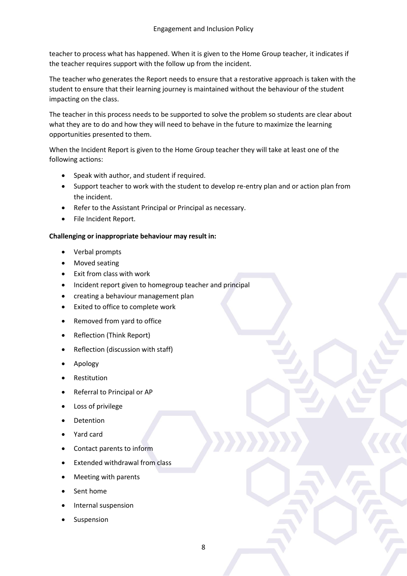teacher to process what has happened. When it is given to the Home Group teacher, it indicates if the teacher requires support with the follow up from the incident.

The teacher who generates the Report needs to ensure that a restorative approach is taken with the student to ensure that their learning journey is maintained without the behaviour of the student impacting on the class.

The teacher in this process needs to be supported to solve the problem so students are clear about what they are to do and how they will need to behave in the future to maximize the learning opportunities presented to them.

When the Incident Report is given to the Home Group teacher they will take at least one of the following actions:

- Speak with author, and student if required.
- Support teacher to work with the student to develop re-entry plan and or action plan from the incident.
- Refer to the Assistant Principal or Principal as necessary.
- File Incident Report.

# **Challenging or inappropriate behaviour may result in:**

- Verbal prompts
- Moved seating
- Exit from class with work
- Incident report given to homegroup teacher and principal
- creating a behaviour management plan
- Exited to office to complete work
- Removed from yard to office
- Reflection (Think Report)
- Reflection (discussion with staff)
- Apology
- Restitution
- Referral to Principal or AP
- Loss of privilege
- Detention
- Yard card
- Contact parents to inform
- Extended withdrawal from class
- Meeting with parents
- Sent home
- Internal suspension
- Suspension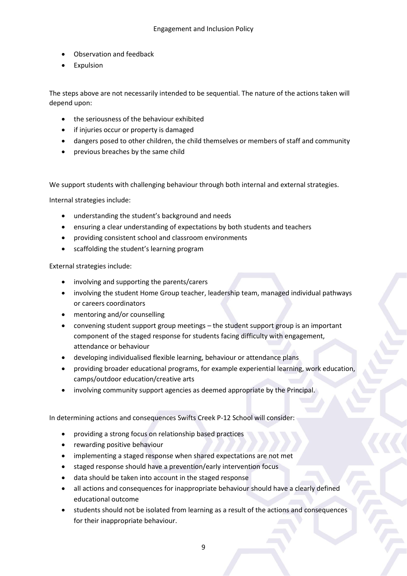- Observation and feedback
- Expulsion

The steps above are not necessarily intended to be sequential. The nature of the actions taken will depend upon:

- the seriousness of the behaviour exhibited
- if injuries occur or property is damaged
- dangers posed to other children, the child themselves or members of staff and community
- previous breaches by the same child

We support students with challenging behaviour through both internal and external strategies.

Internal strategies include:

- understanding the student's background and needs
- ensuring a clear understanding of expectations by both students and teachers
- providing consistent school and classroom environments
- scaffolding the student's learning program

External strategies include:

- involving and supporting the parents/carers
- involving the student Home Group teacher, leadership team, managed individual pathways or careers coordinators
- mentoring and/or counselling
- convening student support group meetings the student support group is an important component of the staged response for students facing difficulty with engagement, attendance or behaviour
- developing individualised flexible learning, behaviour or attendance plans
- providing broader educational programs, for example experiential learning, work education, camps/outdoor education/creative arts
- involving community support agencies as deemed appropriate by the Principal.

In determining actions and consequences Swifts Creek P-12 School will consider:

- providing a strong focus on relationship based practices
- rewarding positive behaviour
- implementing a staged response when shared expectations are not met
- staged response should have a prevention/early intervention focus
- data should be taken into account in the staged response
- all actions and consequences for inappropriate behaviour should have a clearly defined educational outcome
- students should not be isolated from learning as a result of the actions and consequences for their inappropriate behaviour.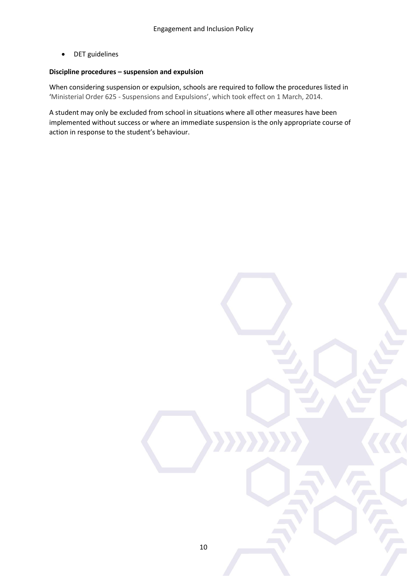DET guidelines

# **Discipline procedures – suspension and expulsion**

When considering suspension or expulsion, schools are required to follow the procedures listed in 'Ministerial Order 625 - Suspensions and Expulsions', which took effect on 1 March, 2014.

A student may only be excluded from school in situations where all other measures have been implemented without success or where an immediate suspension is the only appropriate course of action in response to the student's behaviour.